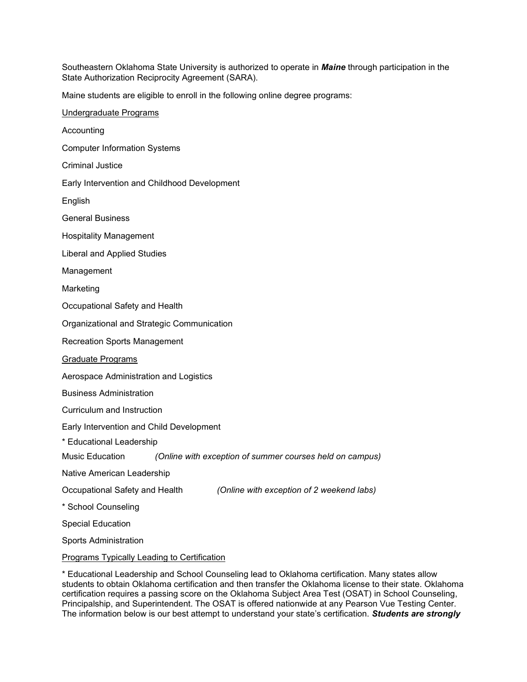Southeastern Oklahoma State University is authorized to operate in *Maine* through participation in the State Authorization Reciprocity Agreement (SARA).

Maine students are eligible to enroll in the following online degree programs:

| Undergraduate Programs                                                      |
|-----------------------------------------------------------------------------|
| Accounting                                                                  |
| <b>Computer Information Systems</b>                                         |
| <b>Criminal Justice</b>                                                     |
| Early Intervention and Childhood Development                                |
| English                                                                     |
| <b>General Business</b>                                                     |
| <b>Hospitality Management</b>                                               |
| <b>Liberal and Applied Studies</b>                                          |
| Management                                                                  |
| Marketing                                                                   |
| Occupational Safety and Health                                              |
| Organizational and Strategic Communication                                  |
| <b>Recreation Sports Management</b>                                         |
| Graduate Programs                                                           |
| Aerospace Administration and Logistics                                      |
| <b>Business Administration</b>                                              |
| Curriculum and Instruction                                                  |
| Early Intervention and Child Development                                    |
| * Educational Leadership                                                    |
| Music Education<br>(Online with exception of summer courses held on campus) |
| Native American Leadership                                                  |
| Occupational Safety and Health<br>(Online with exception of 2 weekend labs) |
| * School Counseling                                                         |
| <b>Special Education</b>                                                    |
| <b>Sports Administration</b>                                                |
| Programs Typically Leading to Certification                                 |

\* Educational Leadership and School Counseling lead to Oklahoma certification. Many states allow students to obtain Oklahoma certification and then transfer the Oklahoma license to their state. Oklahoma certification requires a passing score on the Oklahoma Subject Area Test (OSAT) in School Counseling, Principalship, and Superintendent. The OSAT is offered nationwide at any Pearson Vue Testing Center. The information below is our best attempt to understand your state's certification. *Students are strongly*